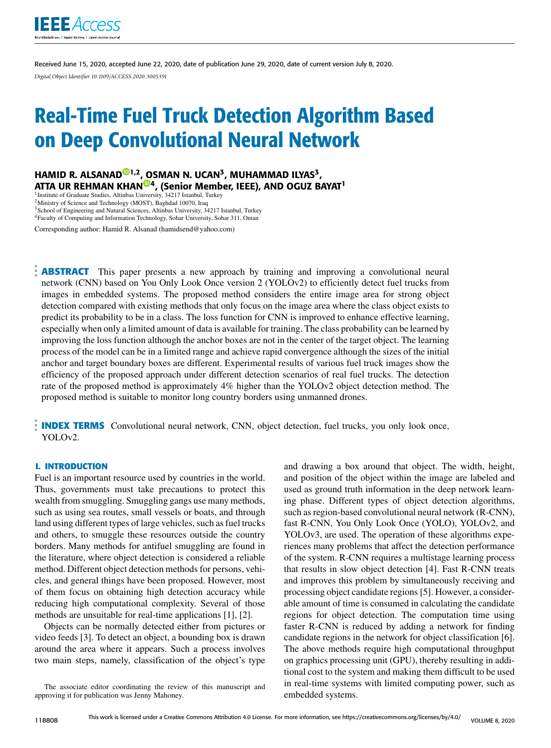

Received June 15, 2020, accepted June 22, 2020, date of publication June 29, 2020, date of current version July 8, 2020. *Digital Object Identifier 10.1109/ACCESS.2020.3005391*

# Real-Time Fuel Truck Detection Algorithm Based on Deep Convolutional Neural Network

HAMID R. ALSANAD®1,2, OSMAN N. UCAN<sup>3</sup>, MUHAMMAD ILYAS<sup>3</sup>, ATTA UR REHMAN KHAN<sup>@4</sup>, (Senior Member, IEEE), AND OGUZ BAYAT<sup>1</sup> <sup>1</sup> Institute of Graduate Studies, Altinbas University, 34217 Istanbul, Turkey

<sup>2</sup>Ministry of Science and Technology (MOST), Baghdad 10070, Iraq

 $3$ School of Engineering and Natural Sciences, Altinbas University, 34217 Istanbul, Turkey

<sup>4</sup>Faculty of Computing and Information Technology, Sohar University, Sohar 311, Oman

Corresponding author: Hamid R. Alsanad (hamidsend@yahoo.com)

**ABSTRACT** This paper presents a new approach by training and improving a convolutional neural network (CNN) based on You Only Look Once version 2 (YOLOv2) to efficiently detect fuel trucks from images in embedded systems. The proposed method considers the entire image area for strong object detection compared with existing methods that only focus on the image area where the class object exists to predict its probability to be in a class. The loss function for CNN is improved to enhance effective learning, especially when only a limited amount of data is available for training. The class probability can be learned by improving the loss function although the anchor boxes are not in the center of the target object. The learning process of the model can be in a limited range and achieve rapid convergence although the sizes of the initial anchor and target boundary boxes are different. Experimental results of various fuel truck images show the efficiency of the proposed approach under different detection scenarios of real fuel trucks. The detection rate of the proposed method is approximately 4% higher than the YOLOv2 object detection method. The proposed method is suitable to monitor long country borders using unmanned drones.

**INDEX TERMS** Convolutional neural network, CNN, object detection, fuel trucks, you only look once, YOLOv2.

#### **I. INTRODUCTION**

Fuel is an important resource used by countries in the world. Thus, governments must take precautions to protect this wealth from smuggling. Smuggling gangs use many methods, such as using sea routes, small vessels or boats, and through land using different types of large vehicles, such as fuel trucks and others, to smuggle these resources outside the country borders. Many methods for antifuel smuggling are found in the literature, where object detection is considered a reliable method. Different object detection methods for persons, vehicles, and general things have been proposed. However, most of them focus on obtaining high detection accuracy while reducing high computational complexity. Several of those methods are unsuitable for real-time applications [1], [2].

Objects can be normally detected either from pictures or video feeds [3]. To detect an object, a bounding box is drawn around the area where it appears. Such a process involves two main steps, namely, classification of the object's type and drawing a box around that object. The width, height, and position of the object within the image are labeled and used as ground truth information in the deep network learning phase. Different types of object detection algorithms, such as region-based convolutional neural network (R-CNN), fast R-CNN, You Only Look Once (YOLO), YOLOv2, and YOLOv3, are used. The operation of these algorithms experiences many problems that affect the detection performance of the system. R-CNN requires a multistage learning process that results in slow object detection [4]. Fast R-CNN treats and improves this problem by simultaneously receiving and processing object candidate regions [5]. However, a considerable amount of time is consumed in calculating the candidate regions for object detection. The computation time using faster R-CNN is reduced by adding a network for finding candidate regions in the network for object classification [6]. The above methods require high computational throughput on graphics processing unit (GPU), thereby resulting in additional cost to the system and making them difficult to be used in real-time systems with limited computing power, such as embedded systems.

The associate editor coordinating the review of this manuscript and approving it for publication was Jenny Mahoney.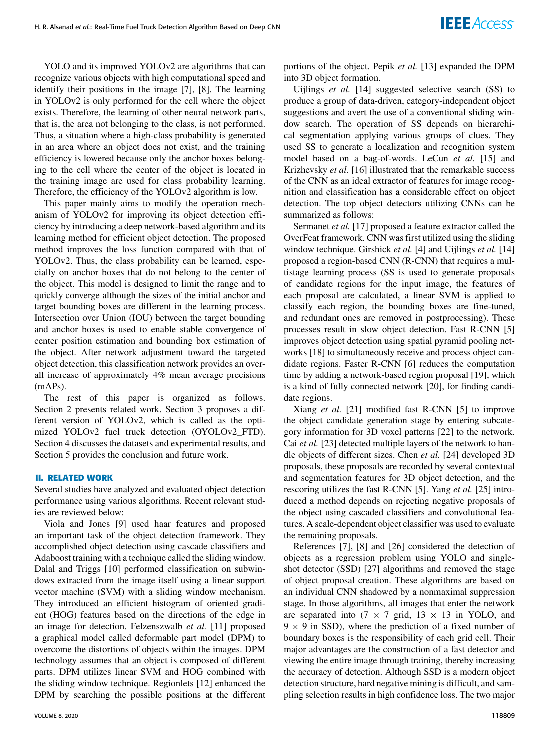YOLO and its improved YOLOv2 are algorithms that can recognize various objects with high computational speed and identify their positions in the image [7], [8]. The learning in YOLOv2 is only performed for the cell where the object exists. Therefore, the learning of other neural network parts, that is, the area not belonging to the class, is not performed. Thus, a situation where a high-class probability is generated in an area where an object does not exist, and the training efficiency is lowered because only the anchor boxes belonging to the cell where the center of the object is located in the training image are used for class probability learning. Therefore, the efficiency of the YOLOv2 algorithm is low.

This paper mainly aims to modify the operation mechanism of YOLOv2 for improving its object detection efficiency by introducing a deep network-based algorithm and its learning method for efficient object detection. The proposed method improves the loss function compared with that of YOLOv2. Thus, the class probability can be learned, especially on anchor boxes that do not belong to the center of the object. This model is designed to limit the range and to quickly converge although the sizes of the initial anchor and target bounding boxes are different in the learning process. Intersection over Union (IOU) between the target bounding and anchor boxes is used to enable stable convergence of center position estimation and bounding box estimation of the object. After network adjustment toward the targeted object detection, this classification network provides an overall increase of approximately 4% mean average precisions (mAPs).

The rest of this paper is organized as follows. Section 2 presents related work. Section 3 proposes a different version of YOLOv2, which is called as the optimized YOLOv2 fuel truck detection (OYOLOv2\_FTD). Section 4 discusses the datasets and experimental results, and Section 5 provides the conclusion and future work.

#### **II. RELATED WORK**

Several studies have analyzed and evaluated object detection performance using various algorithms. Recent relevant studies are reviewed below:

Viola and Jones [9] used haar features and proposed an important task of the object detection framework. They accomplished object detection using cascade classifiers and Adaboost training with a technique called the sliding window. Dalal and Triggs [10] performed classification on subwindows extracted from the image itself using a linear support vector machine (SVM) with a sliding window mechanism. They introduced an efficient histogram of oriented gradient (HOG) features based on the directions of the edge in an image for detection. Felzenszwalb *et al.* [11] proposed a graphical model called deformable part model (DPM) to overcome the distortions of objects within the images. DPM technology assumes that an object is composed of different parts. DPM utilizes linear SVM and HOG combined with the sliding window technique. Regionlets [12] enhanced the DPM by searching the possible positions at the different

portions of the object. Pepik *et al.* [13] expanded the DPM into 3D object formation.

Uijlings *et al.* [14] suggested selective search (SS) to produce a group of data-driven, category-independent object suggestions and avert the use of a conventional sliding window search. The operation of SS depends on hierarchical segmentation applying various groups of clues. They used SS to generate a localization and recognition system model based on a bag-of-words. LeCun *et al.* [15] and Krizhevsky *et al.* [16] illustrated that the remarkable success of the CNN as an ideal extractor of features for image recognition and classification has a considerable effect on object detection. The top object detectors utilizing CNNs can be summarized as follows:

Sermanet *et al.* [17] proposed a feature extractor called the OverFeat framework. CNN was first utilized using the sliding window technique. Girshick *et al.* [4] and Uijlings *et al.* [14] proposed a region-based CNN (R-CNN) that requires a multistage learning process (SS is used to generate proposals of candidate regions for the input image, the features of each proposal are calculated, a linear SVM is applied to classify each region, the bounding boxes are fine-tuned, and redundant ones are removed in postprocessing). These processes result in slow object detection. Fast R-CNN [5] improves object detection using spatial pyramid pooling networks [18] to simultaneously receive and process object candidate regions. Faster R-CNN [6] reduces the computation time by adding a network-based region proposal [19], which is a kind of fully connected network [20], for finding candidate regions.

Xiang *et al.* [21] modified fast R-CNN [5] to improve the object candidate generation stage by entering subcategory information for 3D voxel patterns [22] to the network. Cai *et al.* [23] detected multiple layers of the network to handle objects of different sizes. Chen *et al.* [24] developed 3D proposals, these proposals are recorded by several contextual and segmentation features for 3D object detection, and the rescoring utilizes the fast R-CNN [5]. Yang *et al.* [25] introduced a method depends on rejecting negative proposals of the object using cascaded classifiers and convolutional features. A scale-dependent object classifier was used to evaluate the remaining proposals.

References [7], [8] and [26] considered the detection of objects as a regression problem using YOLO and singleshot detector (SSD) [27] algorithms and removed the stage of object proposal creation. These algorithms are based on an individual CNN shadowed by a nonmaximal suppression stage. In those algorithms, all images that enter the network are separated into  $(7 \times 7 \text{ grid}, 13 \times 13 \text{ in YOLO}, \text{ and}$  $9 \times 9$  in SSD), where the prediction of a fixed number of boundary boxes is the responsibility of each grid cell. Their major advantages are the construction of a fast detector and viewing the entire image through training, thereby increasing the accuracy of detection. Although SSD is a modern object detection structure, hard negative mining is difficult, and sampling selection results in high confidence loss. The two major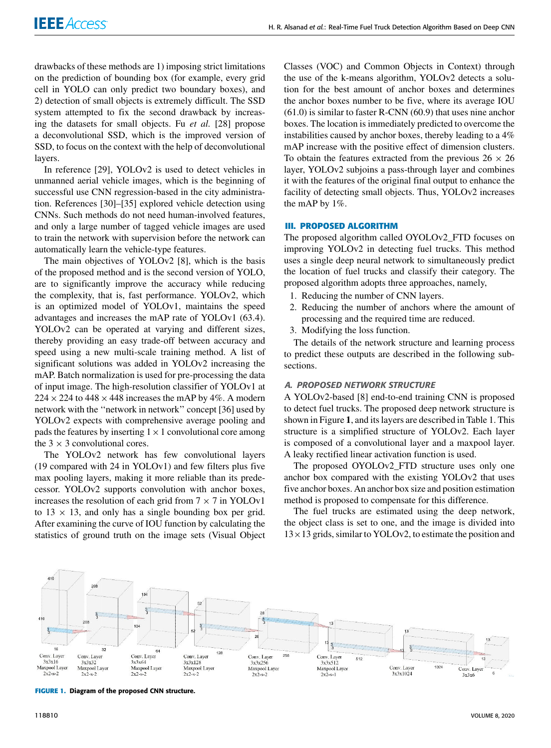drawbacks of these methods are 1) imposing strict limitations on the prediction of bounding box (for example, every grid cell in YOLO can only predict two boundary boxes), and 2) detection of small objects is extremely difficult. The SSD system attempted to fix the second drawback by increasing the datasets for small objects. Fu *et al.* [28] propose a deconvolutional SSD, which is the improved version of SSD, to focus on the context with the help of deconvolutional layers.

In reference [29], YOLOv2 is used to detect vehicles in unmanned aerial vehicle images, which is the beginning of successful use CNN regression-based in the city administration. References [30]–[35] explored vehicle detection using CNNs. Such methods do not need human-involved features, and only a large number of tagged vehicle images are used to train the network with supervision before the network can automatically learn the vehicle-type features.

The main objectives of YOLOv2 [8], which is the basis of the proposed method and is the second version of YOLO, are to significantly improve the accuracy while reducing the complexity, that is, fast performance. YOLOv2, which is an optimized model of YOLOv1, maintains the speed advantages and increases the mAP rate of YOLOv1 (63.4). YOLOv2 can be operated at varying and different sizes, thereby providing an easy trade-off between accuracy and speed using a new multi-scale training method. A list of significant solutions was added in YOLOv2 increasing the mAP. Batch normalization is used for pre-processing the data of input image. The high-resolution classifier of YOLOv1 at  $224 \times 224$  to  $448 \times 448$  increases the mAP by 4%. A modern network with the ''network in network'' concept [36] used by YOLOv2 expects with comprehensive average pooling and pads the features by inserting  $1 \times 1$  convolutional core among the  $3 \times 3$  convolutional cores.

The YOLOv2 network has few convolutional layers (19 compared with 24 in YOLOv1) and few filters plus five max pooling layers, making it more reliable than its predecessor. YOLOv2 supports convolution with anchor boxes, increases the resolution of each grid from  $7 \times 7$  in YOLOv1 to  $13 \times 13$ , and only has a single bounding box per grid. After examining the curve of IOU function by calculating the statistics of ground truth on the image sets (Visual Object Classes (VOC) and Common Objects in Context) through the use of the k-means algorithm, YOLOv2 detects a solution for the best amount of anchor boxes and determines the anchor boxes number to be five, where its average IOU (61.0) is similar to faster R-CNN (60.9) that uses nine anchor boxes. The location is immediately predicted to overcome the instabilities caused by anchor boxes, thereby leading to a 4% mAP increase with the positive effect of dimension clusters. To obtain the features extracted from the previous  $26 \times 26$ layer, YOLOv2 subjoins a pass-through layer and combines it with the features of the original final output to enhance the facility of detecting small objects. Thus, YOLOv2 increases the mAP by 1%.

#### **III. PROPOSED ALGORITHM**

The proposed algorithm called OYOLOv2\_FTD focuses on improving YOLOv2 in detecting fuel trucks. This method uses a single deep neural network to simultaneously predict the location of fuel trucks and classify their category. The proposed algorithm adopts three approaches, namely,

- 1. Reducing the number of CNN layers.
- 2. Reducing the number of anchors where the amount of processing and the required time are reduced.
- 3. Modifying the loss function.

The details of the network structure and learning process to predict these outputs are described in the following subsections.

## A. PROPOSED NETWORK STRUCTURE

A YOLOv2-based [8] end-to-end training CNN is proposed to detect fuel trucks. The proposed deep network structure is shown in Figure **1**, and its layers are described in Table 1. This structure is a simplified structure of YOLOv2. Each layer is composed of a convolutional layer and a maxpool layer. A leaky rectified linear activation function is used.

The proposed OYOLOv2\_FTD structure uses only one anchor box compared with the existing YOLOv2 that uses five anchor boxes. An anchor box size and position estimation method is proposed to compensate for this difference.

The fuel trucks are estimated using the deep network, the object class is set to one, and the image is divided into  $13 \times 13$  grids, similar to YOLOv2, to estimate the position and



**FIGURE 1.** Diagram of the proposed CNN structure.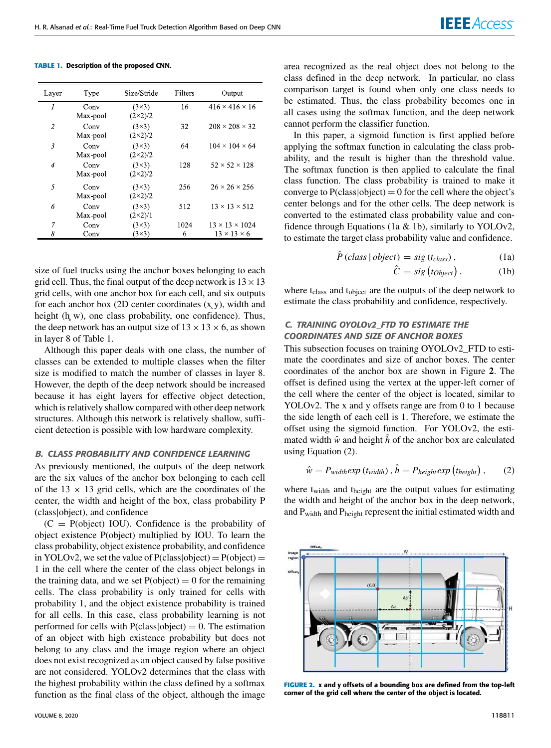**TABLE 1.** Description of the proposed CNN.

| Layer          | Type             | Size/Stride                      | Filters   | Output                                                |
|----------------|------------------|----------------------------------|-----------|-------------------------------------------------------|
| 1              | Conv<br>Max-pool | $(3\times3)$<br>$(2\times2)/2$   | 16        | $416 \times 416 \times 16$                            |
| $\overline{2}$ | Conv<br>Max-pool | $(3\times3)$<br>$(2\times2)/2$   | 32        | $208 \times 208 \times 32$                            |
| 3              | Conv<br>Max-pool | $(3\times3)$<br>$(2\times2)/2$   | 64        | $104 \times 104 \times 64$                            |
| $\overline{4}$ | Conv<br>Max pool | $(3\times3)$<br>$(2 \times 2)/2$ | 128       | $52 \times 52 \times 128$                             |
| $\overline{5}$ | Conv<br>Max pool | $(3\times3)$<br>$(2\times2)/2$   | 256       | $26 \times 26 \times 256$                             |
| 6              | Conv<br>Max-pool | $(3\times3)$<br>$(2\times2)/1$   | 512       | $13 \times 13 \times 512$                             |
| 7<br>8         | Conv<br>Conv     | $(3\times3)$<br>$(3\times3)$     | 1024<br>6 | $13 \times 13 \times 1024$<br>$13 \times 13 \times 6$ |

size of fuel trucks using the anchor boxes belonging to each grid cell. Thus, the final output of the deep network is  $13 \times 13$ grid cells, with one anchor box for each cell, and six outputs for each anchor box  $(2D)$  center coordinates  $(x, y)$ , width and height (h w), one class probability, one confidence). Thus, the deep network has an output size of  $13 \times 13 \times 6$ , as shown in layer 8 of Table 1.

Although this paper deals with one class, the number of classes can be extended to multiple classes when the filter size is modified to match the number of classes in layer 8. However, the depth of the deep network should be increased because it has eight layers for effective object detection, which is relatively shallow compared with other deep network structures. Although this network is relatively shallow, sufficient detection is possible with low hardware complexity.

#### B. CLASS PROBABILITY AND CONFIDENCE LEARNING

As previously mentioned, the outputs of the deep network are the six values of the anchor box belonging to each cell of the  $13 \times 13$  grid cells, which are the coordinates of the center, the width and height of the box, class probability P (class|object), and confidence

 $(C = P(object) IOU)$ . Confidence is the probability of object existence P(object) multiplied by IOU. To learn the class probability, object existence probability, and confidence in YOLOv2, we set the value of  $P(\text{class}|\text{object}) = P(\text{object}) =$ 1 in the cell where the center of the class object belongs in the training data, and we set  $P(\text{object}) = 0$  for the remaining cells. The class probability is only trained for cells with probability 1, and the object existence probability is trained for all cells. In this case, class probability learning is not performed for cells with  $P(\text{class}|\text{object}) = 0$ . The estimation of an object with high existence probability but does not belong to any class and the image region where an object does not exist recognized as an object caused by false positive are not considered. YOLOv2 determines that the class with the highest probability within the class defined by a softmax function as the final class of the object, although the image

area recognized as the real object does not belong to the class defined in the deep network. In particular, no class comparison target is found when only one class needs to be estimated. Thus, the class probability becomes one in all cases using the softmax function, and the deep network cannot perform the classifier function.

In this paper, a sigmoid function is first applied before applying the softmax function in calculating the class probability, and the result is higher than the threshold value. The softmax function is then applied to calculate the final class function. The class probability is trained to make it converge to  $P(\text{class}|\text{object}) = 0$  for the cell where the object's center belongs and for the other cells. The deep network is converted to the estimated class probability value and confidence through Equations (1a  $&$  1b), similarly to YOLOv2, to estimate the target class probability value and confidence.

$$
\ddot{P}(class \mid object) = sig(t_{class}), \qquad (1a)
$$

$$
\hat{C} = sig(t_{Object}). \qquad (1b)
$$

where t<sub>class</sub> and t<sub>object</sub> are the outputs of the deep network to estimate the class probability and confidence, respectively.

# C. TRAINING OYOLOv2\_FTD TO ESTIMATE THE COORDINATES AND SIZE OF ANCHOR BOXES

This subsection focuses on training OYOLOv2\_FTD to estimate the coordinates and size of anchor boxes. The center coordinates of the anchor box are shown in Figure **2**. The offset is defined using the vertex at the upper-left corner of the cell where the center of the object is located, similar to YOLOv2. The x and y offsets range are from 0 to 1 because the side length of each cell is 1. Therefore, we estimate the offset using the sigmoid function. For YOLOv2, the estimated width  $\hat{w}$  and height  $\hat{h}$  of the anchor box are calculated using Equation (2).

$$
\hat{w} = P_{width} exp(t_{width}), \hat{h} = P_{height} exp(t_{height}), \qquad (2)
$$

where t<sub>width</sub> and t<sub>height</sub> are the output values for estimating the width and height of the anchor box in the deep network, and Pwidth and Pheight represent the initial estimated width and



**FIGURE 2.** x and y offsets of a bounding box are defined from the top-left corner of the grid cell where the center of the object is located.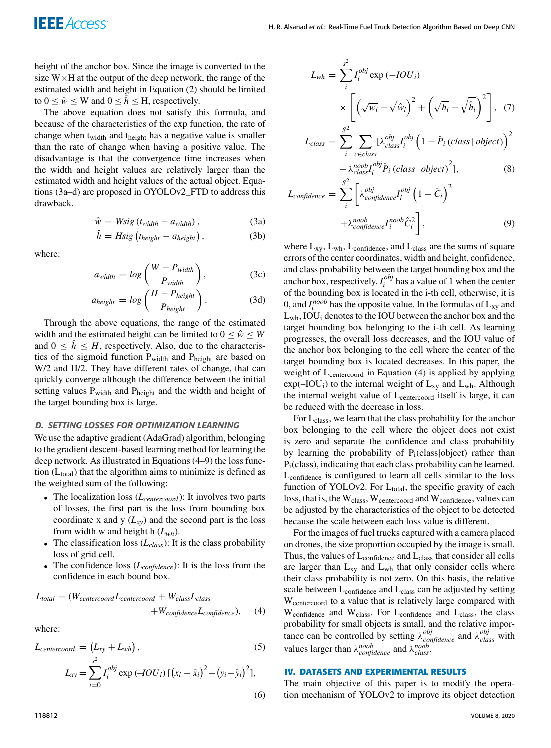height of the anchor box. Since the image is converted to the size  $W \times H$  at the output of the deep network, the range of the estimated width and height in Equation (2) should be limited to  $0 \leq \hat{w} \leq W$  and  $0 \leq \hat{h} \leq H$ , respectively.

The above equation does not satisfy this formula, and because of the characteristics of the exp function, the rate of change when t<sub>width</sub> and t<sub>height</sub> has a negative value is smaller than the rate of change when having a positive value. The disadvantage is that the convergence time increases when the width and height values are relatively larger than the estimated width and height values of the actual object. Equations (3a–d) are proposed in OYOLOv2\_FTD to address this drawback.

$$
\hat{w} = Wsig(t_{width} - a_{width}), \qquad (3a)
$$

$$
\hat{h} = Hsig(t_{height} - a_{height}), \qquad (3b)
$$

where:

$$
a_{width} = log\left(\frac{W - P_{width}}{P_{width}}\right),
$$
 (3c)

$$
a_{height} = log\left(\frac{H - P_{height}}{P_{height}}\right). \tag{3d}
$$

Through the above equations, the range of the estimated width and the estimated height can be limited to  $0 \leq \hat{w} \leq W$ and  $0 \leq \hat{h} \leq H$ , respectively. Also, due to the characteristics of the sigmoid function P<sub>width</sub> and P<sub>height</sub> are based on W/2 and H/2. They have different rates of change, that can quickly converge although the difference between the initial setting values  $P_{width}$  and  $P_{height}$  and the width and height of the target bounding box is large.

#### D. SETTING LOSSES FOR OPTIMIZATION LEARNING

We use the adaptive gradient (AdaGrad) algorithm, belonging to the gradient descent-based learning method for learning the deep network. As illustrated in Equations (4–9) the loss function  $(L_{total})$  that the algorithm aims to minimize is defined as the weighted sum of the following:

- The localization loss (*Lcentercoord* ): It involves two parts of losses, the first part is the loss from bounding box coordinate x and y  $(L_{XY})$  and the second part is the loss from width w and height h (*Lwh*).
- The classification loss (*Lclass*): It is the class probability loss of grid cell.
- The confidence loss (*Lconfidence*): It is the loss from the confidence in each bound box.

$$
L_{total} = (W_{centercoord}L_{centercoord} + W_{class}L_{class} + W_{confidence}L_{confidence}),
$$
 (4)

where:

$$
L_{centerood} = (L_{xy} + L_{wh}),
$$
\n(5)  
\n
$$
L_{xy} = \sum_{i=0}^{s^2} I_i^{obj} \exp(-IOU_i) [(x_i - \hat{x}_i)^2 + (y_i - \hat{y}_i)^2],
$$
\n(6)

$$
L_{wh} = \sum_{i}^{s^2} I_i^{obj} \exp(-IOU_i)
$$
  
\n
$$
\times \left[ \left( \sqrt{w_i} - \sqrt{\hat{w}_i} \right)^2 + \left( \sqrt{h_i} - \sqrt{\hat{h}_i} \right)^2 \right], (7)
$$
  
\n
$$
L_{class} = \sum_{i}^{S^2} \sum_{c \in class} \left[ \lambda_{class}^{obj} I_i^{obj} \left( 1 - \hat{P}_i \left( class \mid object \right) \right)^2 + \lambda_{class}^{noobj} I_i^{obj} \hat{P}_i \left( class \mid object \right)^2 \right],
$$
  
\n
$$
L_{confidence} = \sum_{i}^{S^2} \left[ \lambda_{confidence}^{obj} I_i^{obj} \left( 1 - \hat{C}_i \right)^2 \right]
$$
  
\n(8)

$$
i \leftarrow
$$
  
+  $\lambda_{confidence}^{n oob} \hat{C}_i^2$ , (9)

where  $L_{xy}$ ,  $L_{wh}$ ,  $L_{confidence}$ , and  $L_{class}$  are the sums of square errors of the center coordinates, width and height, confidence, and class probability between the target bounding box and the anchor box, respectively.  $I_i^{obj}$  $\frac{\partial v}{\partial t}$  has a value of 1 when the center of the bounding box is located in the i-th cell, otherwise, it is 0, and  $I_i^{noob}$  has the opposite value. In the formulas of  $L_{xy}$  and  $L_{wh}$ , IOU<sub>i</sub> denotes to the IOU between the anchor box and the target bounding box belonging to the i-th cell. As learning progresses, the overall loss decreases, and the IOU value of the anchor box belonging to the cell where the center of the target bounding box is located decreases. In this paper, the weight of L<sub>centercoord</sub> in Equation (4) is applied by applying  $exp(-IOU_i)$  to the internal weight of  $L_{xy}$  and  $L_{wh}$ . Although the internal weight value of L<sub>centercoord</sub> itself is large, it can be reduced with the decrease in loss.

For Lclass, we learn that the class probability for the anchor box belonging to the cell where the object does not exist is zero and separate the confidence and class probability by learning the probability of  $P_i$ (class|object) rather than Pi(class), indicating that each class probability can be learned. Lconfidence is configured to learn all cells similar to the loss function of YOLOv2. For  $L_{total}$ , the specific gravity of each loss, that is, the W<sub>class</sub>, W<sub>centercoord</sub> and W<sub>confidence</sub>, values can be adjusted by the characteristics of the object to be detected because the scale between each loss value is different.

For the images of fuel trucks captured with a camera placed on drones, the size proportion occupied by the image is small. Thus, the values of  $L_{\text{confidence}}$  and  $L_{\text{class}}$  that consider all cells are larger than  $L_{xy}$  and  $L_{wh}$  that only consider cells where their class probability is not zero. On this basis, the relative scale between  $L_{\text{confidence}}$  and  $L_{\text{class}}$  can be adjusted by setting Wcentercoord to a value that is relatively large compared with W<sub>confidence</sub> and W<sub>class</sub>. For L<sub>confidence</sub> and L<sub>class</sub>, the class probability for small objects is small, and the relative importance can be controlled by setting  $\lambda_{confidence}^{obj}$  and  $\lambda_{class}^{obj}$  with values larger than  $\lambda_{confidence}^{n oob}$  and  $\lambda_{class}^{n oob}$ .

## **IV. DATASETS AND EXPERIMENTAL RESULTS**

The main objective of this paper is to modify the operation mechanism of YOLOv2 to improve its object detection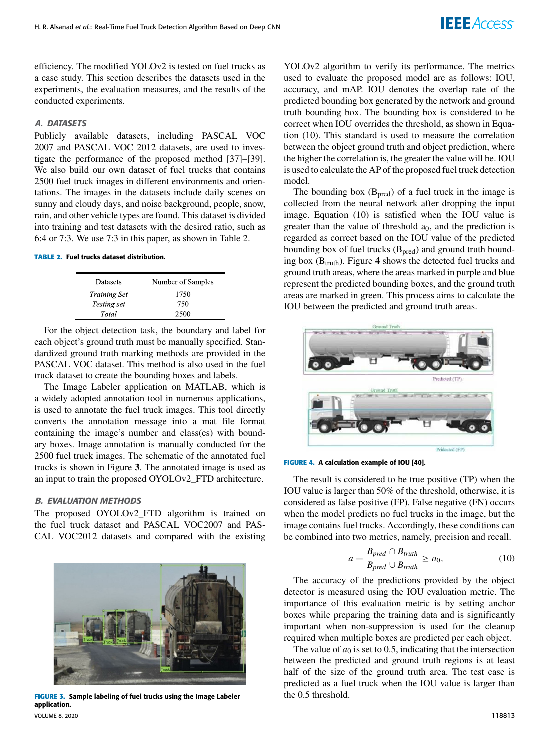efficiency. The modified YOLOv2 is tested on fuel trucks as a case study. This section describes the datasets used in the experiments, the evaluation measures, and the results of the conducted experiments.

# A. DATASETS

Publicly available datasets, including PASCAL VOC 2007 and PASCAL VOC 2012 datasets, are used to investigate the performance of the proposed method [37]–[39]. We also build our own dataset of fuel trucks that contains 2500 fuel truck images in different environments and orientations. The images in the datasets include daily scenes on sunny and cloudy days, and noise background, people, snow, rain, and other vehicle types are found. This dataset is divided into training and test datasets with the desired ratio, such as 6:4 or 7:3. We use 7:3 in this paper, as shown in Table 2.

#### **TABLE 2.** Fuel trucks dataset distribution.

| Datasets            | Number of Samples |
|---------------------|-------------------|
| <b>Training Set</b> | 1750              |
| <i>Testing set</i>  | 750               |
| Total               | 2500              |

For the object detection task, the boundary and label for each object's ground truth must be manually specified. Standardized ground truth marking methods are provided in the PASCAL VOC dataset. This method is also used in the fuel truck dataset to create the bounding boxes and labels.

The Image Labeler application on MATLAB, which is a widely adopted annotation tool in numerous applications, is used to annotate the fuel truck images. This tool directly converts the annotation message into a mat file format containing the image's number and class(es) with boundary boxes. Image annotation is manually conducted for the 2500 fuel truck images. The schematic of the annotated fuel trucks is shown in Figure **3**. The annotated image is used as an input to train the proposed OYOLOv2\_FTD architecture.

#### B. EVALUATION METHODS

The proposed OYOLOv2 FTD algorithm is trained on the fuel truck dataset and PASCAL VOC2007 and PAS-CAL VOC2012 datasets and compared with the existing



**FIGURE 3.** Sample labeling of fuel trucks using the Image Labeler application.

VOLUME 8, 2020 118813

YOLOv2 algorithm to verify its performance. The metrics used to evaluate the proposed model are as follows: IOU, accuracy, and mAP. IOU denotes the overlap rate of the predicted bounding box generated by the network and ground truth bounding box. The bounding box is considered to be correct when IOU overrides the threshold, as shown in Equation (10). This standard is used to measure the correlation between the object ground truth and object prediction, where the higher the correlation is, the greater the value will be. IOU is used to calculate the AP of the proposed fuel truck detection model.

The bounding box  $(B_{pred})$  of a fuel truck in the image is collected from the neural network after dropping the input image. Equation (10) is satisfied when the IOU value is greater than the value of threshold  $a_0$ , and the prediction is regarded as correct based on the IOU value of the predicted bounding box of fuel trucks  $(B<sub>pred</sub>)$  and ground truth bounding box  $(B<sub>truth</sub>)$ . Figure 4 shows the detected fuel trucks and ground truth areas, where the areas marked in purple and blue represent the predicted bounding boxes, and the ground truth areas are marked in green. This process aims to calculate the IOU between the predicted and ground truth areas.



**FIGURE 4.** A calculation example of IOU [40].

The result is considered to be true positive (TP) when the IOU value is larger than 50% of the threshold, otherwise, it is considered as false positive (FP). False negative (FN) occurs when the model predicts no fuel trucks in the image, but the image contains fuel trucks. Accordingly, these conditions can be combined into two metrics, namely, precision and recall.

$$
a = \frac{B_{pred} \cap B_{truth}}{B_{pred} \cup B_{truth}} \ge a_0,
$$
\n(10)

The accuracy of the predictions provided by the object detector is measured using the IOU evaluation metric. The importance of this evaluation metric is by setting anchor boxes while preparing the training data and is significantly important when non-suppression is used for the cleanup required when multiple boxes are predicted per each object.

The value of  $a_0$  is set to 0.5, indicating that the intersection between the predicted and ground truth regions is at least half of the size of the ground truth area. The test case is predicted as a fuel truck when the IOU value is larger than the 0.5 threshold.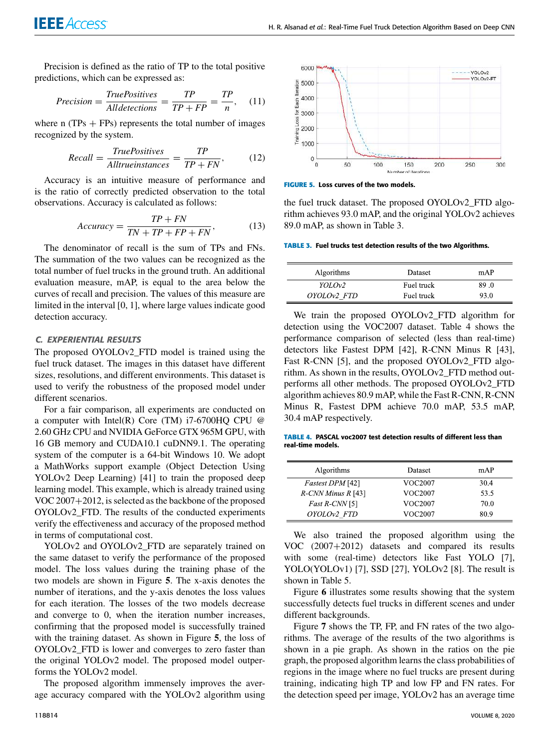Precision is defined as the ratio of TP to the total positive predictions, which can be expressed as:

$$
Precision = \frac{TruePositives}{Alldetermines} = \frac{TP}{TP + FP} = \frac{TP}{n}, \quad (11)
$$

where n  $(TPs + FPs)$  represents the total number of images recognized by the system.

$$
Recall = \frac{TruePositives}{Alltrueinstances} = \frac{TP}{TP + FN},
$$
 (12)

Accuracy is an intuitive measure of performance and is the ratio of correctly predicted observation to the total observations. Accuracy is calculated as follows:

$$
Accuracy = \frac{TP + FN}{TN + TP + FP + FN},
$$
\n(13)

The denominator of recall is the sum of TPs and FNs. The summation of the two values can be recognized as the total number of fuel trucks in the ground truth. An additional evaluation measure, mAP, is equal to the area below the curves of recall and precision. The values of this measure are limited in the interval [0, 1], where large values indicate good detection accuracy.

# C. EXPERIENTIAL RESULTS

The proposed OYOLOv2\_FTD model is trained using the fuel truck dataset. The images in this dataset have different sizes, resolutions, and different environments. This dataset is used to verify the robustness of the proposed model under different scenarios.

For a fair comparison, all experiments are conducted on a computer with Intel(R) Core (TM)  $i7-6700HQ$  CPU  $@$ 2.60 GHz CPU and NVIDIA GeForce GTX 965M GPU, with 16 GB memory and CUDA10.1 cuDNN9.1. The operating system of the computer is a 64-bit Windows 10. We adopt a MathWorks support example (Object Detection Using YOLOv2 Deep Learning) [41] to train the proposed deep learning model. This example, which is already trained using VOC 2007+2012, is selected as the backbone of the proposed OYOLOv2\_FTD. The results of the conducted experiments verify the effectiveness and accuracy of the proposed method in terms of computational cost.

YOLOv2 and OYOLOv2\_FTD are separately trained on the same dataset to verify the performance of the proposed model. The loss values during the training phase of the two models are shown in Figure **5**. The x-axis denotes the number of iterations, and the y-axis denotes the loss values for each iteration. The losses of the two models decrease and converge to 0, when the iteration number increases, confirming that the proposed model is successfully trained with the training dataset. As shown in Figure **5**, the loss of OYOLOv2\_FTD is lower and converges to zero faster than the original YOLOv2 model. The proposed model outperforms the YOLOv2 model.

The proposed algorithm immensely improves the average accuracy compared with the YOLOv2 algorithm using



**FIGURE 5.** Loss curves of the two models.

the fuel truck dataset. The proposed OYOLOv2\_FTD algorithm achieves 93.0 mAP, and the original YOLOv2 achieves 89.0 mAP, as shown in Table 3.

**TABLE 3.** Fuel trucks test detection results of the two Algorithms.

| <b>Algorithms</b>  | Dataset    | mAP  |
|--------------------|------------|------|
| YOLOv <sub>2</sub> | Fuel truck | 89.0 |
| OYOLOv2 FTD        | Fuel truck | 93.0 |

We train the proposed OYOLOv2\_FTD algorithm for detection using the VOC2007 dataset. Table 4 shows the performance comparison of selected (less than real-time) detectors like Fastest DPM [42], R-CNN Minus R [43], Fast R-CNN [5], and the proposed OYOLOv2 FTD algorithm. As shown in the results, OYOLOv2\_FTD method outperforms all other methods. The proposed OYOLOv2\_FTD algorithm achieves 80.9 mAP, while the Fast R-CNN, R-CNN Minus R, Fastest DPM achieve 70.0 mAP, 53.5 mAP, 30.4 mAP respectively.

**TABLE 4.** PASCAL voc2007 test detection results of different less than real-time models.

 $\overline{a}$  $\overline{a}$ 

| Algorithms            | Dataset | mAP  |
|-----------------------|---------|------|
| Fastest DPM [42]      | VOC2007 | 30.4 |
| $R$ -CNN Minus R [43] | VOC2007 | 53.5 |
| Fast R-CNN [5]        | VOC2007 | 70.0 |
| OYOLOv2 FTD           | VOC2007 | 80.9 |

We also trained the proposed algorithm using the VOC (2007+2012) datasets and compared its results with some (real-time) detectors like Fast YOLO [7], YOLO(YOLOv1) [7], SSD [27], YOLOv2 [8]. The result is shown in Table 5.

Figure **6** illustrates some results showing that the system successfully detects fuel trucks in different scenes and under different backgrounds.

Figure **7** shows the TP, FP, and FN rates of the two algorithms. The average of the results of the two algorithms is shown in a pie graph. As shown in the ratios on the pie graph, the proposed algorithm learns the class probabilities of regions in the image where no fuel trucks are present during training, indicating high TP and low FP and FN rates. For the detection speed per image, YOLOv2 has an average time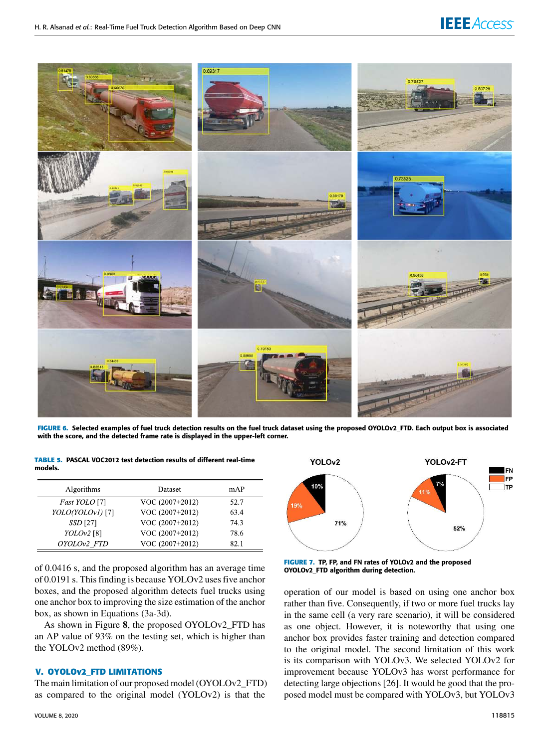

**FIGURE 6.** Selected examples of fuel truck detection results on the fuel truck dataset using the proposed OYOLOv2\_FTD. Each output box is associated with the score, and the detected frame rate is displayed in the upper-left corner.

|         | TABLE 5. PASCAL VOC2012 test detection results of different real-time |
|---------|-----------------------------------------------------------------------|
| models. |                                                                       |

| Algorithms      | Dataset         | mAP  |
|-----------------|-----------------|------|
| Fast YOLO [7]   | VOC (2007+2012) | 52.7 |
| YOLO(YOLOv1)[7] | VOC (2007+2012) | 63.4 |
| SSD [27]        | VOC (2007+2012) | 74.3 |
| $YOLOv2$ [8]    | VOC (2007+2012) | 78.6 |
| OYOLOv2 FTD     | VOC (2007+2012) | 82.1 |

of 0.0416 s, and the proposed algorithm has an average time of 0.0191 s. This finding is because YOLOv2 uses five anchor boxes, and the proposed algorithm detects fuel trucks using one anchor box to improving the size estimation of the anchor box, as shown in Equations (3a-3d).

As shown in Figure **8**, the proposed OYOLOv2\_FTD has an AP value of 93% on the testing set, which is higher than the YOLOv2 method (89%).

## **V. OYOLOv2\_FTD LIMITATIONS**

The main limitation of our proposed model (OYOLOv2\_FTD) as compared to the original model (YOLOv2) is that the



**FIGURE 7.** TP, FP, and FN rates of YOLOv2 and the proposed OYOLOv2\_FTD algorithm during detection.

operation of our model is based on using one anchor box rather than five. Consequently, if two or more fuel trucks lay in the same cell (a very rare scenario), it will be considered as one object. However, it is noteworthy that using one anchor box provides faster training and detection compared to the original model. The second limitation of this work is its comparison with YOLOv3. We selected YOLOv2 for improvement because YOLOv3 has worst performance for detecting large objections [26]. It would be good that the proposed model must be compared with YOLOv3, but YOLOv3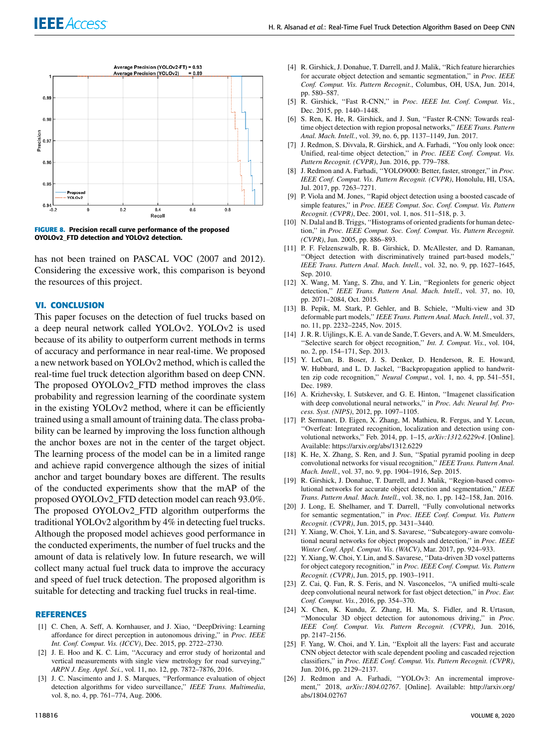

**FIGURE 8.** Precision recall curve performance of the proposed OYOLOv2\_FTD detection and YOLOv2 detection.

has not been trained on PASCAL VOC (2007 and 2012). Considering the excessive work, this comparison is beyond the resources of this project.

## **VI. CONCLUSION**

This paper focuses on the detection of fuel trucks based on a deep neural network called YOLOv2. YOLOv2 is used because of its ability to outperform current methods in terms of accuracy and performance in near real-time. We proposed a new network based on YOLOv2 method, which is called the real-time fuel truck detection algorithm based on deep CNN. The proposed OYOLOv2\_FTD method improves the class probability and regression learning of the coordinate system in the existing YOLOv2 method, where it can be efficiently trained using a small amount of training data. The class probability can be learned by improving the loss function although the anchor boxes are not in the center of the target object. The learning process of the model can be in a limited range and achieve rapid convergence although the sizes of initial anchor and target boundary boxes are different. The results of the conducted experiments show that the mAP of the proposed OYOLOv2\_FTD detection model can reach 93.0%. The proposed OYOLOv2\_FTD algorithm outperforms the traditional YOLOv2 algorithm by 4% in detecting fuel trucks. Although the proposed model achieves good performance in the conducted experiments, the number of fuel trucks and the amount of data is relatively low. In future research, we will collect many actual fuel truck data to improve the accuracy and speed of fuel truck detection. The proposed algorithm is suitable for detecting and tracking fuel trucks in real-time.

## **REFERENCES**

- [1] C. Chen, A. Seff, A. Kornhauser, and J. Xiao, "DeepDriving: Learning affordance for direct perception in autonomous driving,'' in *Proc. IEEE Int. Conf. Comput. Vis. (ICCV)*, Dec. 2015, pp. 2722–2730.
- [2] J. E. Hoo and K. C. Lim, ''Accuracy and error study of horizontal and vertical measurements with single view metrology for road surveying,'' *ARPN J. Eng. Appl. Sci.*, vol. 11, no. 12, pp. 7872–7876, 2016.
- [3] J. C. Nascimento and J. S. Marques, "Performance evaluation of object detection algorithms for video surveillance,'' *IEEE Trans. Multimedia*, vol. 8, no. 4, pp. 761–774, Aug. 2006.
- [4] R. Girshick, J. Donahue, T. Darrell, and J. Malik, ''Rich feature hierarchies for accurate object detection and semantic segmentation,'' in *Proc. IEEE Conf. Comput. Vis. Pattern Recognit.*, Columbus, OH, USA, Jun. 2014, pp. 580–587.
- [5] R. Girshick, ''Fast R-CNN,'' in *Proc. IEEE Int. Conf. Comput. Vis.*, Dec. 2015, pp. 1440–1448.
- [6] S. Ren, K. He, R. Girshick, and J. Sun, "Faster R-CNN: Towards realtime object detection with region proposal networks,'' *IEEE Trans. Pattern Anal. Mach. Intell.*, vol. 39, no. 6, pp. 1137–1149, Jun. 2017.
- [7] J. Redmon, S. Divvala, R. Girshick, and A. Farhadi, ''You only look once: Unified, real-time object detection,'' in *Proc. IEEE Conf. Comput. Vis. Pattern Recognit. (CVPR)*, Jun. 2016, pp. 779–788.
- [8] J. Redmon and A. Farhadi, ''YOLO9000: Better, faster, stronger,'' in *Proc. IEEE Conf. Comput. Vis. Pattern Recognit. (CVPR)*, Honolulu, HI, USA, Jul. 2017, pp. 7263–7271.
- [9] P. Viola and M. Jones, ''Rapid object detection using a boosted cascade of simple features,'' in *Proc. IEEE Comput. Soc. Conf. Comput. Vis. Pattern Recognit. (CVPR)*, Dec. 2001, vol. 1, nos. 511–518, p. 3.
- [10] N. Dalal and B. Triggs, "Histograms of oriented gradients for human detection,'' in *Proc. IEEE Comput. Soc. Conf. Comput. Vis. Pattern Recognit. (CVPR)*, Jun. 2005, pp. 886–893.
- [11] P. F. Felzenszwalb, R. B. Girshick, D. McAllester, and D. Ramanan, ''Object detection with discriminatively trained part-based models,'' *IEEE Trans. Pattern Anal. Mach. Intell.*, vol. 32, no. 9, pp. 1627–1645, Sep. 2010.
- [12] X. Wang, M. Yang, S. Zhu, and Y. Lin, ''Regionlets for generic object detection,'' *IEEE Trans. Pattern Anal. Mach. Intell.*, vol. 37, no. 10, pp. 2071–2084, Oct. 2015.
- [13] B. Pepik, M. Stark, P. Gehler, and B. Schiele, "Multi-view and 3D deformable part models,'' *IEEE Trans. Pattern Anal. Mach. Intell.*, vol. 37, no. 11, pp. 2232–2245, Nov. 2015.
- [14] J. R. R. Uijlings, K. E. A. van de Sande, T. Gevers, and A. W. M. Smeulders, ''Selective search for object recognition,'' *Int. J. Comput. Vis.*, vol. 104, no. 2, pp. 154–171, Sep. 2013.
- [15] Y. LeCun, B. Boser, J. S. Denker, D. Henderson, R. E. Howard, W. Hubbard, and L. D. Jackel, ''Backpropagation applied to handwritten zip code recognition,'' *Neural Comput.*, vol. 1, no. 4, pp. 541–551, Dec. 1989.
- [16] A. Krizhevsky, I. Sutskever, and G. E. Hinton, ''Imagenet classification with deep convolutional neural networks,'' in *Proc. Adv. Neural Inf. Process. Syst. (NIPS)*, 2012, pp. 1097–1105.
- [17] P. Sermanet, D. Eigen, X. Zhang, M. Mathieu, R. Fergus, and Y. Lecun, ''Overfeat: Integrated recognition, localization and detection using convolutional networks,'' Feb. 2014, pp. 1–15, *arXiv:1312.6229v4*. [Online]. Available: https://arxiv.org/abs/1312.6229
- [18] K. He, X. Zhang, S. Ren, and J. Sun, "Spatial pyramid pooling in deep convolutional networks for visual recognition,'' *IEEE Trans. Pattern Anal. Mach. Intell.*, vol. 37, no. 9, pp. 1904–1916, Sep. 2015.
- [19] R. Girshick, J. Donahue, T. Darrell, and J. Malik, "Region-based convolutional networks for accurate object detection and segmentation,'' *IEEE Trans. Pattern Anal. Mach. Intell.*, vol. 38, no. 1, pp. 142–158, Jan. 2016.
- [20] J. Long, E. Shelhamer, and T. Darrell, "Fully convolutional networks for semantic segmentation,'' in *Proc. IEEE Conf. Comput. Vis. Pattern Recognit. (CVPR)*, Jun. 2015, pp. 3431–3440.
- [21] Y. Xiang, W. Choi, Y. Lin, and S. Savarese, "Subcategory-aware convolutional neural networks for object proposals and detection,'' in *Proc. IEEE Winter Conf. Appl. Comput. Vis. (WACV)*, Mar. 2017, pp. 924–933.
- [22] Y. Xiang, W. Choi, Y. Lin, and S. Savarese, ''Data-driven 3D voxel patterns for object category recognition,'' in *Proc. IEEE Conf. Comput. Vis. Pattern Recognit. (CVPR)*, Jun. 2015, pp. 1903–1911.
- [23] Z. Cai, Q. Fan, R. S. Feris, and N. Vasconcelos, "A unified multi-scale deep convolutional neural network for fast object detection,'' in *Proc. Eur. Conf. Comput. Vis.*, 2016, pp. 354–370.
- [24] X. Chen, K. Kundu, Z. Zhang, H. Ma, S. Fidler, and R. Urtasun, ''Monocular 3D object detection for autonomous driving,'' in *Proc. IEEE Conf. Comput. Vis. Pattern Recognit. (CVPR)*, Jun. 2016, pp. 2147–2156.
- [25] F. Yang, W. Choi, and Y. Lin, "Exploit all the layers: Fast and accurate CNN object detector with scale dependent pooling and cascaded rejection classifiers,'' in *Proc. IEEE Conf. Comput. Vis. Pattern Recognit. (CVPR)*, Jun. 2016, pp. 2129–2137.
- [26] J. Redmon and A. Farhadi, "YOLOv3: An incremental improvement,'' 2018, *arXiv:1804.02767*. [Online]. Available: http://arxiv.org/ abs/1804.02767